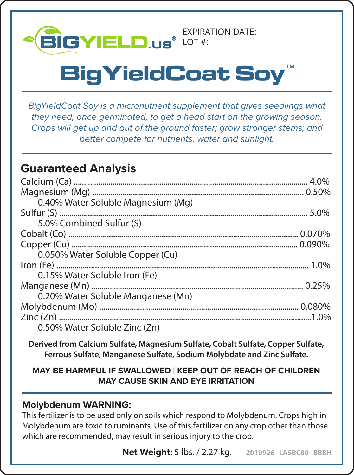

# $\mathsf{BigY}$ ield**C**oat Soy

*BigYieldCoat Soy is a micronutrient supplement that gives seedlings what they need, once germinated, to get a head start on the growing season. Crops will get up and out of the ground faster; grow stronger stems; and better compete for nutrients, water and sunlight.*

# **Guaranteed Analysis**

| 0.40% Water Soluble Magnesium (Mg) |  |
|------------------------------------|--|
|                                    |  |
| 5.0% Combined Sulfur (S)           |  |
|                                    |  |
|                                    |  |
| 0.050% Water Soluble Copper (Cu)   |  |
|                                    |  |
| 0.15% Water Soluble Iron (Fe)      |  |
|                                    |  |
| 0.20% Water Soluble Manganese (Mn) |  |
|                                    |  |
|                                    |  |
| 0.50% Water Soluble Zinc (Zn)      |  |

**Derived from Calcium Sulfate, Magnesium Sulfate, Cobalt Sulfate, Copper Sulfate, Ferrous Sulfate, Manganese Sulfate, Sodium Molybdate and Zinc Sulfate.**

## **MAY BE HARMFUL IF SWALLOWED | KEEP OUT OF REACH OF CHILDREN MAY CAUSE SKIN AND EYE IRRITATION**

## **Molybdenum WARNING:**

This fertilizer is to be used only on soils which respond to Molybdenum. Crops high in Molybdenum are toxic to ruminants. Use of this fertilizer on any crop other than those which are recommended, may result in serious injury to the crop.

**Net Weight:** 5 lbs. / 2.27 kg. **2010926 LASBC80 BBBH**